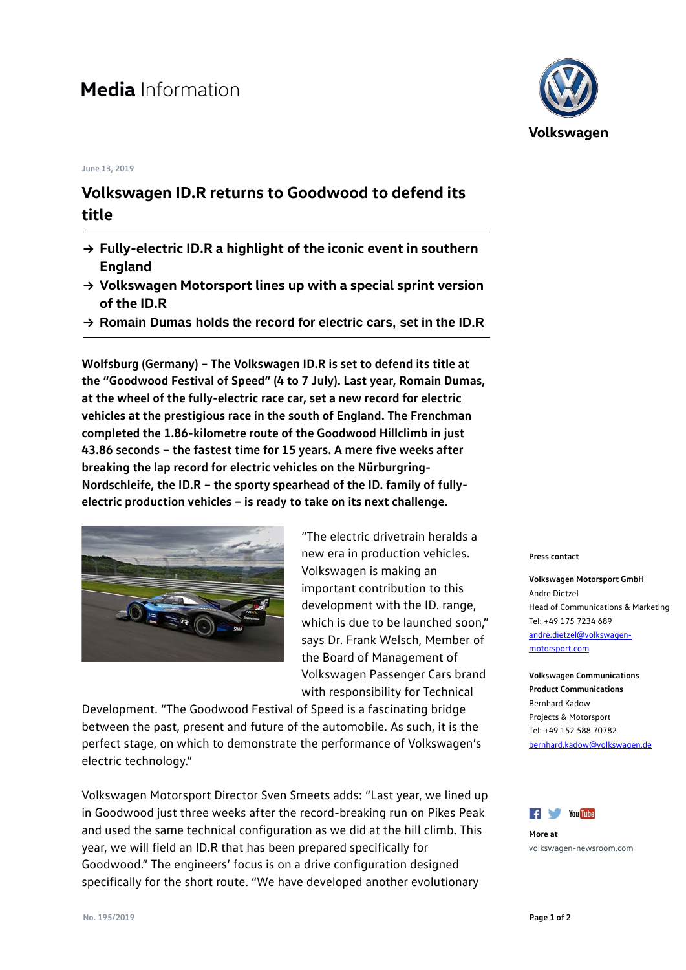# **Media** Information

#### **June 13, 2019**

## **Volkswagen ID.R returns to Goodwood to defend its title**

- **→ Fully-electric ID.R a highlight of the iconic event in southern England**
- **→ Volkswagen Motorsport lines up with a special sprint version of the ID.R**
- **→ Romain Dumas holds the record for electric cars, set in the ID.R**

**Wolfsburg (Germany) – The Volkswagen ID.R is set to defend its title at the "Goodwood Festival of Speed" (4 to 7 July). Last year, Romain Dumas, at the wheel of the fully-electric race car, set a new record for electric vehicles at the prestigious race in the south of England. The Frenchman completed the 1.86-kilometre route of the Goodwood Hillclimb in just 43.86 seconds – the fastest time for 15 years. A mere five weeks after breaking the lap record for electric vehicles on the Nürburgring-Nordschleife, the ID.R – the sporty spearhead of the ID. family of fullyelectric production vehicles – is ready to take on its next challenge.**



"The electric drivetrain heralds a new era in production vehicles. Volkswagen is making an important contribution to this development with the ID. range, which is due to be launched soon," says Dr. Frank Welsch, Member of the Board of Management of Volkswagen Passenger Cars brand with responsibility for Technical

Development. "The Goodwood Festival of Speed is a fascinating bridge between the past, present and future of the automobile. As such, it is the perfect stage, on which to demonstrate the performance of Volkswagen's electric technology."

Volkswagen Motorsport Director Sven Smeets adds: "Last year, we lined up in Goodwood just three weeks after the record-breaking run on Pikes Peak and used the same technical configuration as we did at the hill climb. This year, we will field an ID.R that has been prepared specifically for Goodwood." The engineers' focus is on a drive configuration designed specifically for the short route. "We have developed another evolutionary



#### **Press contact**

**Volkswagen Motorsport GmbH** Andre Dietzel Head of Communications & Marketing Tel: +49 175 7234 689 [andre.dietzel@volkswagen](mailto:andre.dietzel@volkswagen-motorsport.com)[motorsport.com](mailto:andre.dietzel@volkswagen-motorsport.com)

**Volkswagen Communications Product Communications** Bernhard Kadow Projects & Motorsport Tel: +49 152 588 70782 [bernhard.kadow@volkswagen.de](mailto:bernhard.kadow@volkswagen.de)



**More at** [volkswagen-newsroom.com](https://www.volkswagen-newsroom.com/)